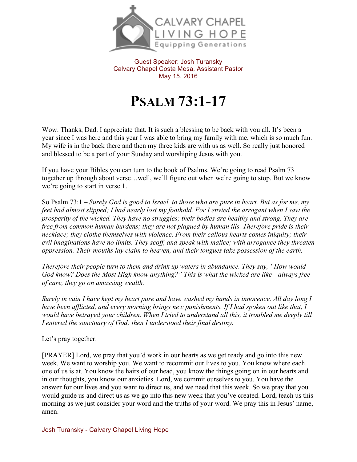

Guest Speaker: Josh Turansky Calvary Chapel Costa Mesa, Assistant Pastor May 15, 2016

## **PSALM 73:1-17**

Wow. Thanks, Dad. I appreciate that. It is such a blessing to be back with you all. It's been a year since I was here and this year I was able to bring my family with me, which is so much fun. My wife is in the back there and then my three kids are with us as well. So really just honored and blessed to be a part of your Sunday and worshiping Jesus with you.

If you have your Bibles you can turn to the book of Psalms. We're going to read Psalm 73 together up through about verse…well, we'll figure out when we're going to stop. But we know we're going to start in verse 1.

So Psalm 73:1 – *Surely God is good to Israel, to those who are pure in heart. But as for me, my feet had almost slipped; I had nearly lost my foothold. For I envied the arrogant when I saw the prosperity of the wicked. They have no struggles; their bodies are healthy and strong. They are free from common human burdens; they are not plagued by human ills. Therefore pride is their necklace; they clothe themselves with violence. From their callous hearts comes iniquity; their evil imaginations have no limits. They scoff, and speak with malice; with arrogance they threaten oppression. Their mouths lay claim to heaven, and their tongues take possession of the earth.*

*Therefore their people turn to them and drink up waters in abundance. They say, "How would God know? Does the Most High know anything?" This is what the wicked are like—always free of care, they go on amassing wealth.*

*Surely in vain I have kept my heart pure and have washed my hands in innocence. All day long I have been afflicted, and every morning brings new punishments. If I had spoken out like that, I would have betrayed your children. When I tried to understand all this, it troubled me deeply till I entered the sanctuary of God; then I understood their final destiny.*

Let's pray together.

[PRAYER] Lord, we pray that you'd work in our hearts as we get ready and go into this new week. We want to worship you. We want to recommit our lives to you. You know where each one of us is at. You know the hairs of our head, you know the things going on in our hearts and in our thoughts, you know our anxieties. Lord, we commit ourselves to you. You have the answer for our lives and you want to direct us, and we need that this week. So we pray that you would guide us and direct us as we go into this new week that you've created. Lord, teach us this morning as we just consider your word and the truths of your word. We pray this in Jesus' name, amen.

Josh Turansky - Calvary Chapel Living Hope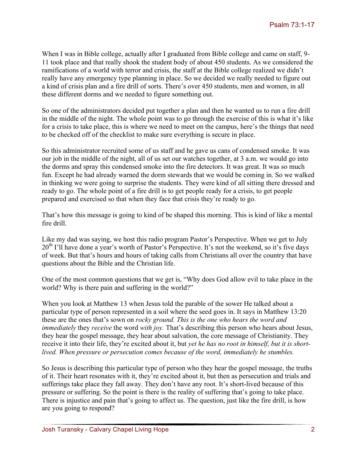When I was in Bible college, actually after I graduated from Bible college and came on staff, 9-11 took place and that really shook the student body of about 450 students. As we considered the ramifications of a world with terror and crisis, the staff at the Bible college realized we didn't really have any emergency type planning in place. So we decided we really needed to figure out a kind of crisis plan and a fire drill of sorts. There's over 450 students, men and women, in all these different dorms and we needed to figure something out.

So one of the administrators decided put together a plan and then he wanted us to run a fire drill in the middle of the night. The whole point was to go through the exercise of this is what it's like for a crisis to take place, this is where we need to meet on the campus, here's the things that need to be checked off of the checklist to make sure everything is secure in place.

So this administrator recruited some of us staff and he gave us cans of condensed smoke. It was our job in the middle of the night, all of us set our watches together, at 3 a.m. we would go into the dorms and spray this condensed smoke into the fire detectors. It was great. It was so much fun. Except he had already warned the dorm stewards that we would be coming in. So we walked in thinking we were going to surprise the students. They were kind of all sitting there dressed and ready to go. The whole point of a fire drill is to get people ready for a crisis, to get people prepared and exercised so that when they face that crisis they're ready to go.

That's how this message is going to kind of be shaped this morning. This is kind of like a mental fire drill.

Like my dad was saying, we host this radio program Pastor's Perspective. When we get to July  $20<sup>th</sup>$  I'll have done a year's worth of Pastor's Perspective. It's not the weekend, so it's five days of week. But that's hours and hours of taking calls from Christians all over the country that have questions about the Bible and the Christian life.

One of the most common questions that we get is, "Why does God allow evil to take place in the world? Why is there pain and suffering in the world?"

When you look at Matthew 13 when Jesus told the parable of the sower He talked about a particular type of person represented in a soil where the seed goes in. It says in Matthew 13:20 these are the ones that's sown on *rocky ground. This is the one who hears the word and immediately* they *receive* the word *with joy*. That's describing this person who hears about Jesus, they hear the gospel message, they hear about salvation, the core message of Christianity. They receive it into their life, they're excited about it, but *yet he has no root in himself, but it is shortlived. When pressure or persecution comes because of the word, immediately he stumbles.* 

So Jesus is describing this particular type of person who they hear the gospel message, the truths of it. Their heart resonates with it, they're excited about it, but then as persecution and trials and sufferings take place they fall away. They don't have any root. It's short-lived because of this pressure or suffering. So the point is there is the reality of suffering that's going to take place. There is injustice and pain that's going to affect us. The question, just like the fire drill, is how are you going to respond?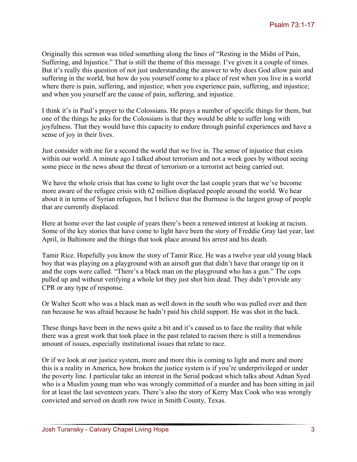Originally this sermon was titled something along the lines of "Resting in the Midst of Pain, Suffering, and Injustice." That is still the theme of this message. I've given it a couple of times. But it's really this question of not just understanding the answer to why does God allow pain and suffering in the world, but how do you yourself come to a place of rest when you live in a world where there is pain, suffering, and injustice; when you experience pain, suffering, and injustice; and when you yourself are the cause of pain, suffering, and injustice.

I think it's in Paul's prayer to the Colossians. He prays a number of specific things for them, but one of the things he asks for the Colossians is that they would be able to suffer long with joyfulness. That they would have this capacity to endure through painful experiences and have a sense of joy in their lives.

Just consider with me for a second the world that we live in. The sense of injustice that exists within our world. A minute ago I talked about terrorism and not a week goes by without seeing some piece in the news about the threat of terrorism or a terrorist act being carried out.

We have the whole crisis that has come to light over the last couple years that we've become more aware of the refugee crisis with 62 million displaced people around the world. We hear about it in terms of Syrian refugees, but I believe that the Burmese is the largest group of people that are currently displaced.

Here at home over the last couple of years there's been a renewed interest at looking at racism. Some of the key stories that have come to light have been the story of Freddie Gray last year, last April, in Baltimore and the things that took place around his arrest and his death.

Tamir Rice. Hopefully you know the story of Tamir Rice. He was a twelve year old young black boy that was playing on a playground with an airsoft gun that didn't have that orange tip on it and the cops were called. "There's a black man on the playground who has a gun." The cops pulled up and without verifying a whole lot they just shot him dead. They didn't provide any CPR or any type of response.

Or Walter Scott who was a black man as well down in the south who was pulled over and then ran because he was afraid because he hadn't paid his child support. He was shot in the back.

These things have been in the news quite a bit and it's caused us to face the reality that while there was a great work that took place in the past related to racism there is still a tremendous amount of issues, especially institutional issues that relate to race.

Or if we look at our justice system, more and more this is coming to light and more and more this is a reality in America, how broken the justice system is if you're underprivileged or under the poverty line. I particular take an interest in the Serial podcast which talks about Adnan Syed who is a Muslim young man who was wrongly committed of a murder and has been sitting in jail for at least the last seventeen years. There's also the story of Kerry Max Cook who was wrongly convicted and served on death row twice in Smith County, Texas.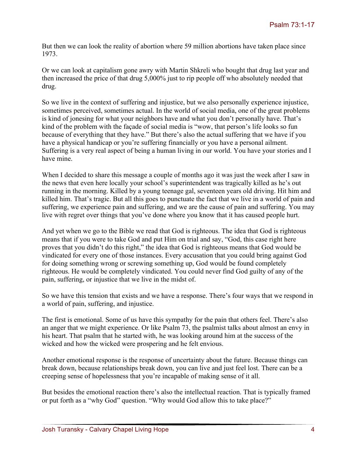But then we can look the reality of abortion where 59 million abortions have taken place since 1973.

Or we can look at capitalism gone awry with Martin Shkreli who bought that drug last year and then increased the price of that drug 5,000% just to rip people off who absolutely needed that drug.

So we live in the context of suffering and injustice, but we also personally experience injustice, sometimes perceived, sometimes actual. In the world of social media, one of the great problems is kind of jonesing for what your neighbors have and what you don't personally have. That's kind of the problem with the façade of social media is "wow, that person's life looks so fun because of everything that they have." But there's also the actual suffering that we have if you have a physical handicap or you're suffering financially or you have a personal ailment. Suffering is a very real aspect of being a human living in our world. You have your stories and I have mine.

When I decided to share this message a couple of months ago it was just the week after I saw in the news that even here locally your school's superintendent was tragically killed as he's out running in the morning. Killed by a young teenage gal, seventeen years old driving. Hit him and killed him. That's tragic. But all this goes to punctuate the fact that we live in a world of pain and suffering, we experience pain and suffering, and we are the cause of pain and suffering. You may live with regret over things that you've done where you know that it has caused people hurt.

And yet when we go to the Bible we read that God is righteous. The idea that God is righteous means that if you were to take God and put Him on trial and say, "God, this case right here proves that you didn't do this right," the idea that God is righteous means that God would be vindicated for every one of those instances. Every accusation that you could bring against God for doing something wrong or screwing something up, God would be found completely righteous. He would be completely vindicated. You could never find God guilty of any of the pain, suffering, or injustice that we live in the midst of.

So we have this tension that exists and we have a response. There's four ways that we respond in a world of pain, suffering, and injustice.

The first is emotional. Some of us have this sympathy for the pain that others feel. There's also an anger that we might experience. Or like Psalm 73, the psalmist talks about almost an envy in his heart. That psalm that he started with, he was looking around him at the success of the wicked and how the wicked were prospering and he felt envious.

Another emotional response is the response of uncertainty about the future. Because things can break down, because relationships break down, you can live and just feel lost. There can be a creeping sense of hopelessness that you're incapable of making sense of it all.

But besides the emotional reaction there's also the intellectual reaction. That is typically framed or put forth as a "why God" question. "Why would God allow this to take place?"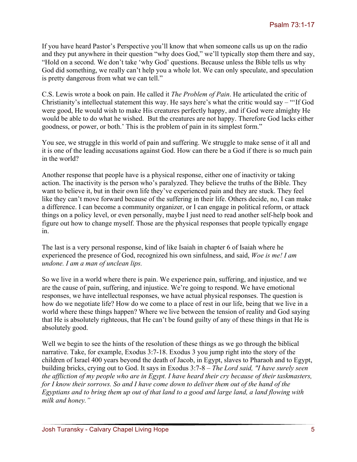If you have heard Pastor's Perspective you'll know that when someone calls us up on the radio and they put anywhere in their question "why does God," we'll typically stop them there and say, "Hold on a second. We don't take 'why God' questions. Because unless the Bible tells us why God did something, we really can't help you a whole lot. We can only speculate, and speculation is pretty dangerous from what we can tell."

C.S. Lewis wrote a book on pain. He called it *The Problem of Pain*. He articulated the critic of Christianity's intellectual statement this way. He says here's what the critic would say – "'If God were good, He would wish to make His creatures perfectly happy, and if God were almighty He would be able to do what he wished. But the creatures are not happy. Therefore God lacks either goodness, or power, or both.' This is the problem of pain in its simplest form."

You see, we struggle in this world of pain and suffering. We struggle to make sense of it all and it is one of the leading accusations against God. How can there be a God if there is so much pain in the world?

Another response that people have is a physical response, either one of inactivity or taking action. The inactivity is the person who's paralyzed. They believe the truths of the Bible. They want to believe it, but in their own life they've experienced pain and they are stuck. They feel like they can't move forward because of the suffering in their life. Others decide, no, I can make a difference. I can become a community organizer, or I can engage in political reform, or attack things on a policy level, or even personally, maybe I just need to read another self-help book and figure out how to change myself. Those are the physical responses that people typically engage in.

The last is a very personal response, kind of like Isaiah in chapter 6 of Isaiah where he experienced the presence of God, recognized his own sinfulness, and said, *Woe is me! I am undone. I am a man of unclean lips.*

So we live in a world where there is pain. We experience pain, suffering, and injustice, and we are the cause of pain, suffering, and injustice. We're going to respond. We have emotional responses, we have intellectual responses, we have actual physical responses. The question is how do we negotiate life? How do we come to a place of rest in our life, being that we live in a world where these things happen? Where we live between the tension of reality and God saying that He is absolutely righteous, that He can't be found guilty of any of these things in that He is absolutely good.

Well we begin to see the hints of the resolution of these things as we go through the biblical narrative. Take, for example, Exodus 3:7-18. Exodus 3 you jump right into the story of the children of Israel 400 years beyond the death of Jacob, in Egypt, slaves to Pharaoh and to Egypt, building bricks, crying out to God. It says in Exodus 3:7-8 – *The Lord said, "I have surely seen the affliction of my people who are in Egypt. I have heard their cry because of their taskmasters, for I know their sorrows. So and I have come down to deliver them out of the hand of the Egyptians and to bring them up out of that land to a good and large land, a land flowing with milk and honey."*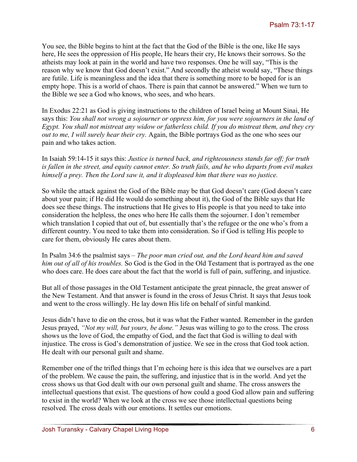You see, the Bible begins to hint at the fact that the God of the Bible is the one, like He says here, He sees the oppression of His people, He hears their cry, He knows their sorrows. So the atheists may look at pain in the world and have two responses. One he will say, "This is the reason why we know that God doesn't exist." And secondly the atheist would say, "These things are futile. Life is meaningless and the idea that there is something more to be hoped for is an empty hope. This is a world of chaos. There is pain that cannot be answered." When we turn to the Bible we see a God who knows, who sees, and who hears.

In Exodus 22:21 as God is giving instructions to the children of Israel being at Mount Sinai, He says this: *You shall not wrong a sojourner or oppress him, for you were sojourners in the land of Egypt. You shall not mistreat any widow or fatherless child. If you do mistreat them, and they cry out to me, I will surely hear their cry.* Again, the Bible portrays God as the one who sees our pain and who takes action.

In Isaiah 59:14-15 it says this: *Justice is turned back, and righteousness stands far off; for truth is fallen in the street, and equity cannot enter. So truth fails, and he who departs from evil makes himself a prey. Then the Lord saw it, and it displeased him that there was no justice.*

So while the attack against the God of the Bible may be that God doesn't care (God doesn't care about your pain; if He did He would do something about it), the God of the Bible says that He does see these things. The instructions that He gives to His people is that you need to take into consideration the helpless, the ones who here He calls them the sojourner. I don't remember which translation I copied that out of, but essentially that's the refugee or the one who's from a different country. You need to take them into consideration. So if God is telling His people to care for them, obviously He cares about them.

In Psalm 34:6 the psalmist says – *The poor man cried out, and the Lord heard him and saved him out of all of his troubles.* So God is the God in the Old Testament that is portrayed as the one who does care. He does care about the fact that the world is full of pain, suffering, and injustice.

But all of those passages in the Old Testament anticipate the great pinnacle, the great answer of the New Testament. And that answer is found in the cross of Jesus Christ. It says that Jesus took and went to the cross willingly. He lay down His life on behalf of sinful mankind.

Jesus didn't have to die on the cross, but it was what the Father wanted. Remember in the garden Jesus prayed, *"Not my will, but yours, be done."* Jesus was willing to go to the cross. The cross shows us the love of God, the empathy of God, and the fact that God is willing to deal with injustice. The cross is God's demonstration of justice. We see in the cross that God took action. He dealt with our personal guilt and shame.

Remember one of the trifled things that I'm echoing here is this idea that we ourselves are a part of the problem. We cause the pain, the suffering, and injustice that is in the world. And yet the cross shows us that God dealt with our own personal guilt and shame. The cross answers the intellectual questions that exist. The questions of how could a good God allow pain and suffering to exist in the world? When we look at the cross we see those intellectual questions being resolved. The cross deals with our emotions. It settles our emotions.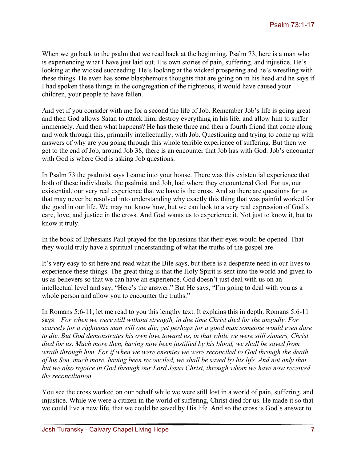When we go back to the psalm that we read back at the beginning, Psalm 73, here is a man who is experiencing what I have just laid out. His own stories of pain, suffering, and injustice. He's looking at the wicked succeeding. He's looking at the wicked prospering and he's wrestling with these things. He even has some blasphemous thoughts that are going on in his head and he says if I had spoken these things in the congregation of the righteous, it would have caused your children, your people to have fallen.

And yet if you consider with me for a second the life of Job. Remember Job's life is going great and then God allows Satan to attack him, destroy everything in his life, and allow him to suffer immensely. And then what happens? He has these three and then a fourth friend that come along and work through this, primarily intellectually, with Job. Questioning and trying to come up with answers of why are you going through this whole terrible experience of suffering. But then we get to the end of Job, around Job 38, there is an encounter that Job has with God. Job's encounter with God is where God is asking Job questions.

In Psalm 73 the psalmist says I came into your house. There was this existential experience that both of these individuals, the psalmist and Job, had where they encountered God. For us, our existential, our very real experience that we have is the cross. And so there are questions for us that may never be resolved into understanding why exactly this thing that was painful worked for the good in our life. We may not know how, but we can look to a very real expression of God's care, love, and justice in the cross. And God wants us to experience it. Not just to know it, but to know it truly.

In the book of Ephesians Paul prayed for the Ephesians that their eyes would be opened. That they would truly have a spiritual understanding of what the truths of the gospel are.

It's very easy to sit here and read what the Bile says, but there is a desperate need in our lives to experience these things. The great thing is that the Holy Spirit is sent into the world and given to us as believers so that we can have an experience. God doesn't just deal with us on an intellectual level and say, "Here's the answer." But He says, "I'm going to deal with you as a whole person and allow you to encounter the truths."

In Romans 5:6-11, let me read to you this lengthy text. It explains this in depth. Romans 5:6-11 says – *For when we were still without strength, in due time Christ died for the ungodly. For scarcely for a righteous man will one die; yet perhaps for a good man someone would even dare to die. But God demonstrates his own love toward us, in that while we were still sinners, Christ died for us. Much more then, having now been justified by his blood, we shall be saved from wrath through him. For if when we were enemies we were reconciled to God through the death of his Son, much more, having been reconciled, we shall be saved by his life. And not only that, but we also rejoice in God through our Lord Jesus Christ, through whom we have now received the reconciliation.*

You see the cross worked on our behalf while we were still lost in a world of pain, suffering, and injustice. While we were a citizen in the world of suffering, Christ died for us. He made it so that we could live a new life, that we could be saved by His life. And so the cross is God's answer to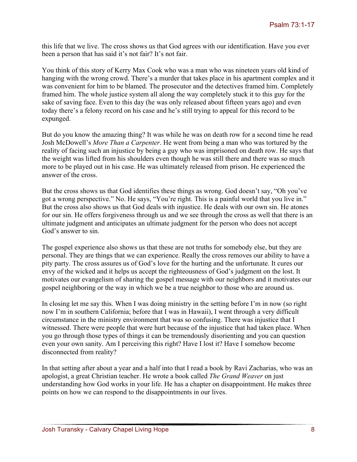this life that we live. The cross shows us that God agrees with our identification. Have you ever been a person that has said it's not fair? It's not fair.

You think of this story of Kerry Max Cook who was a man who was nineteen years old kind of hanging with the wrong crowd. There's a murder that takes place in his apartment complex and it was convenient for him to be blamed. The prosecutor and the detectives framed him. Completely framed him. The whole justice system all along the way completely stuck it to this guy for the sake of saving face. Even to this day (he was only released about fifteen years ago) and even today there's a felony record on his case and he's still trying to appeal for this record to be expunged.

But do you know the amazing thing? It was while he was on death row for a second time he read Josh McDowell's *More Than a Carpenter*. He went from being a man who was tortured by the reality of facing such an injustice by being a guy who was imprisoned on death row. He says that the weight was lifted from his shoulders even though he was still there and there was so much more to be played out in his case. He was ultimately released from prison. He experienced the answer of the cross.

But the cross shows us that God identifies these things as wrong. God doesn't say, "Oh you've got a wrong perspective." No. He says, "You're right. This is a painful world that you live in." But the cross also shows us that God deals with injustice. He deals with our own sin. He atones for our sin. He offers forgiveness through us and we see through the cross as well that there is an ultimate judgment and anticipates an ultimate judgment for the person who does not accept God's answer to sin.

The gospel experience also shows us that these are not truths for somebody else, but they are personal. They are things that we can experience. Really the cross removes our ability to have a pity party. The cross assures us of God's love for the hurting and the unfortunate. It cures our envy of the wicked and it helps us accept the righteousness of God's judgment on the lost. It motivates our evangelism of sharing the gospel message with our neighbors and it motivates our gospel neighboring or the way in which we be a true neighbor to those who are around us.

In closing let me say this. When I was doing ministry in the setting before I'm in now (so right now I'm in southern California; before that I was in Hawaii), I went through a very difficult circumstance in the ministry environment that was so confusing. There was injustice that I witnessed. There were people that were hurt because of the injustice that had taken place. When you go through those types of things it can be tremendously disorienting and you can question even your own sanity. Am I perceiving this right? Have I lost it? Have I somehow become disconnected from reality?

In that setting after about a year and a half into that I read a book by Ravi Zacharias, who was an apologist, a great Christian teacher. He wrote a book called *The Grand Weaver* on just understanding how God works in your life. He has a chapter on disappointment. He makes three points on how we can respond to the disappointments in our lives.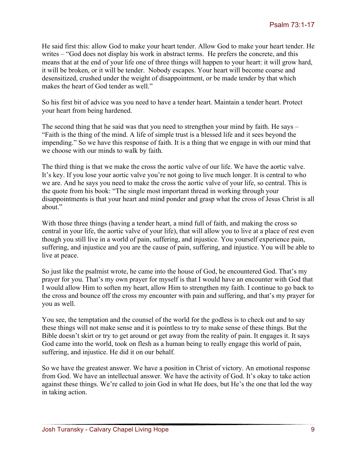He said first this: allow God to make your heart tender. Allow God to make your heart tender. He writes – "God does not display his work in abstract terms. He prefers the concrete, and this means that at the end of your life one of three things will happen to your heart: it will grow hard, it will be broken, or it will be tender. Nobody escapes. Your heart will become coarse and desensitized, crushed under the weight of disappointment, or be made tender by that which makes the heart of God tender as well."

So his first bit of advice was you need to have a tender heart. Maintain a tender heart. Protect your heart from being hardened.

The second thing that he said was that you need to strengthen your mind by faith. He says – "Faith is the thing of the mind. A life of simple trust is a blessed life and it sees beyond the impending." So we have this response of faith. It is a thing that we engage in with our mind that we choose with our minds to walk by faith.

The third thing is that we make the cross the aortic valve of our life. We have the aortic valve. It's key. If you lose your aortic valve you're not going to live much longer. It is central to who we are. And he says you need to make the cross the aortic valve of your life, so central. This is the quote from his book: "The single most important thread in working through your disappointments is that your heart and mind ponder and grasp what the cross of Jesus Christ is all about."

With those three things (having a tender heart, a mind full of faith, and making the cross so central in your life, the aortic valve of your life), that will allow you to live at a place of rest even though you still live in a world of pain, suffering, and injustice. You yourself experience pain, suffering, and injustice and you are the cause of pain, suffering, and injustice. You will be able to live at peace.

So just like the psalmist wrote, he came into the house of God, he encountered God. That's my prayer for you. That's my own prayer for myself is that I would have an encounter with God that I would allow Him to soften my heart, allow Him to strengthen my faith. I continue to go back to the cross and bounce off the cross my encounter with pain and suffering, and that's my prayer for you as well.

You see, the temptation and the counsel of the world for the godless is to check out and to say these things will not make sense and it is pointless to try to make sense of these things. But the Bible doesn't skirt or try to get around or get away from the reality of pain. It engages it. It says God came into the world, took on flesh as a human being to really engage this world of pain, suffering, and injustice. He did it on our behalf.

So we have the greatest answer. We have a position in Christ of victory. An emotional response from God. We have an intellectual answer. We have the activity of God. It's okay to take action against these things. We're called to join God in what He does, but He's the one that led the way in taking action.